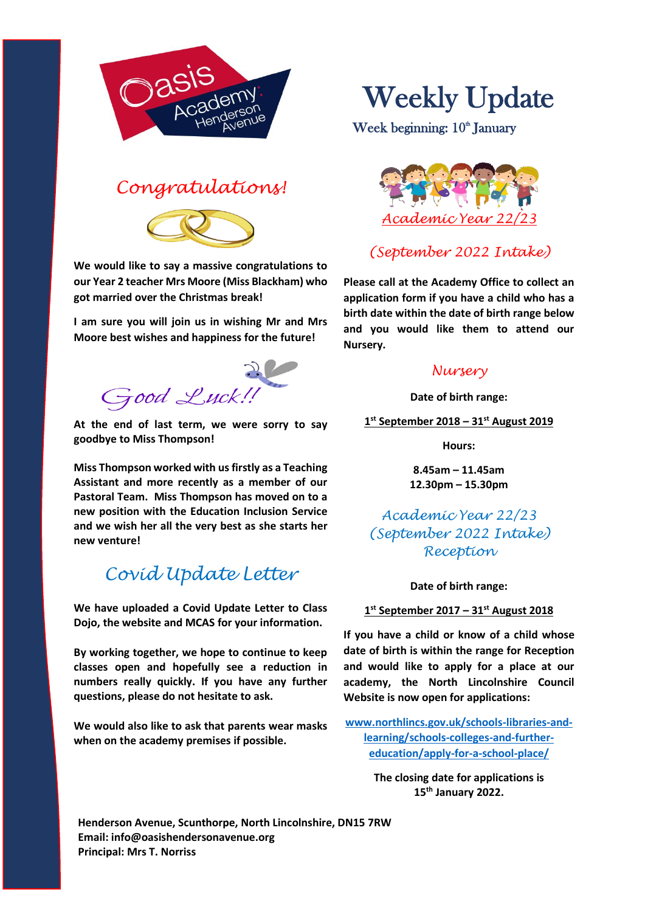

## *Congratulations!*



**We would like to say a massive congratulations to our Year 2 teacher Mrs Moore (Miss Blackham) who got married over the Christmas break!**

**I am sure you will join us in wishing Mr and Mrs Moore best wishes and happiness for the future!**

Good Luck!

**At the end of last term, we were sorry to say goodbye to Miss Thompson!**

**Miss Thompson worked with us firstly as a Teaching Assistant and more recently as a member of our Pastoral Team. Miss Thompson has moved on to a new position with the Education Inclusion Service and we wish her all the very best as she starts her new venture!**

# *Covid Update Letter*

**We have uploaded a Covid Update Letter to Class Dojo, the website and MCAS for your information.**

**By working together, we hope to continue to keep classes open and hopefully see a reduction in numbers really quickly. If you have any further questions, please do not hesitate to ask.**

**We would also like to ask that parents wear masks when on the academy premises if possible.**

# Weekly Update

Week beginning: 10<sup>th</sup> January



## *(September 2022 Intake)*

**Please call at the Academy Office to collect an application form if you have a child who has a birth date within the date of birth range below and you would like them to attend our Nursery.**

#### *Nursery*

**Date of birth range:**

**1 st September 2018 – 31st August 2019**

**Hours:**

**8.45am – 11.45am 12.30pm – 15.30pm**

*Academic Year 22/23 (September 2022 Intake) Reception*

**Date of birth range:**

**1 st September 2017 – 31st August 2018**

**If you have a child or know of a child whose date of birth is within the range for Reception and would like to apply for a place at our academy, the North Lincolnshire Council Website is now open for applications:**

**[www.northlincs.gov.uk/schools-libraries-and](http://www.northlincs.gov.uk/schools-libraries-and-learning/schools-colleges-and-further-education/apply-for-a-school-place/)[learning/schools-colleges-and-further](http://www.northlincs.gov.uk/schools-libraries-and-learning/schools-colleges-and-further-education/apply-for-a-school-place/)[education/apply-for-a-school-place/](http://www.northlincs.gov.uk/schools-libraries-and-learning/schools-colleges-and-further-education/apply-for-a-school-place/)**

> **The closing date for applications is 15th January 2022.**

**Henderson Avenue, Scunthorpe, North Lincolnshire, DN15 7RW Email: info@oasishendersonavenue.org Principal: Mrs T. Norriss**